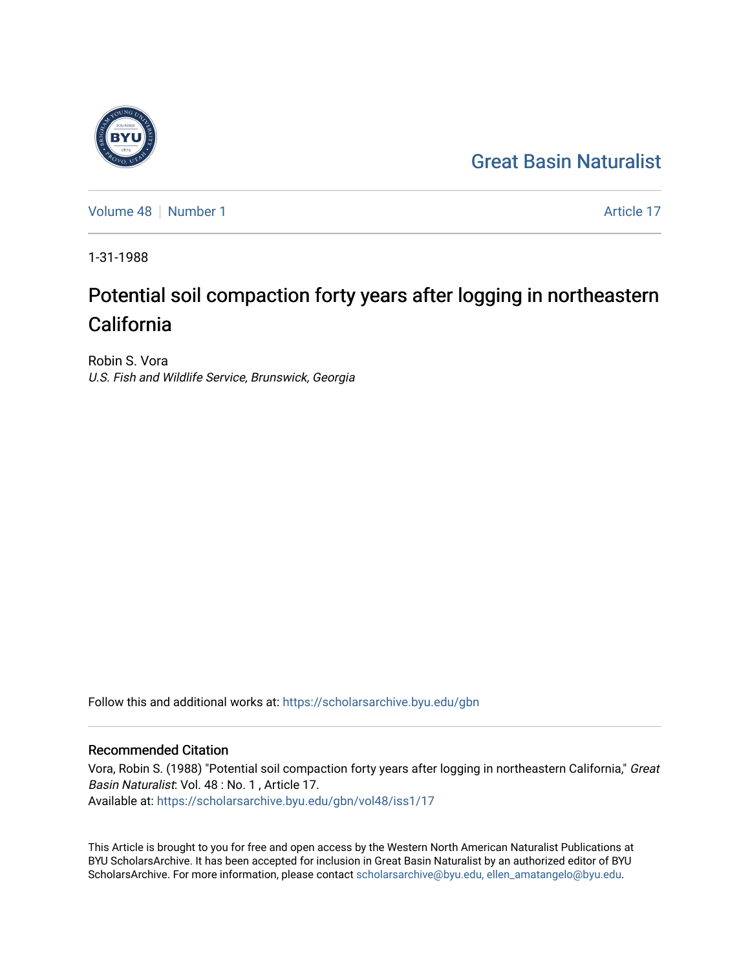## [Great Basin Naturalist](https://scholarsarchive.byu.edu/gbn)

[Volume 48](https://scholarsarchive.byu.edu/gbn/vol48) [Number 1](https://scholarsarchive.byu.edu/gbn/vol48/iss1) Article 17

1-31-1988

# Potential soil compaction forty years after logging in northeastern California

Robin S. Vora U.S. Fish and Wildlife Service, Brunswick, Georgia

Follow this and additional works at: [https://scholarsarchive.byu.edu/gbn](https://scholarsarchive.byu.edu/gbn?utm_source=scholarsarchive.byu.edu%2Fgbn%2Fvol48%2Fiss1%2F17&utm_medium=PDF&utm_campaign=PDFCoverPages) 

### Recommended Citation

Vora, Robin S. (1988) "Potential soil compaction forty years after logging in northeastern California," Great Basin Naturalist: Vol. 48 : No. 1 , Article 17. Available at: [https://scholarsarchive.byu.edu/gbn/vol48/iss1/17](https://scholarsarchive.byu.edu/gbn/vol48/iss1/17?utm_source=scholarsarchive.byu.edu%2Fgbn%2Fvol48%2Fiss1%2F17&utm_medium=PDF&utm_campaign=PDFCoverPages) 

This Article is brought to you for free and open access by the Western North American Naturalist Publications at BYU ScholarsArchive. It has been accepted for inclusion in Great Basin Naturalist by an authorized editor of BYU ScholarsArchive. For more information, please contact [scholarsarchive@byu.edu, ellen\\_amatangelo@byu.edu.](mailto:scholarsarchive@byu.edu,%20ellen_amatangelo@byu.edu)

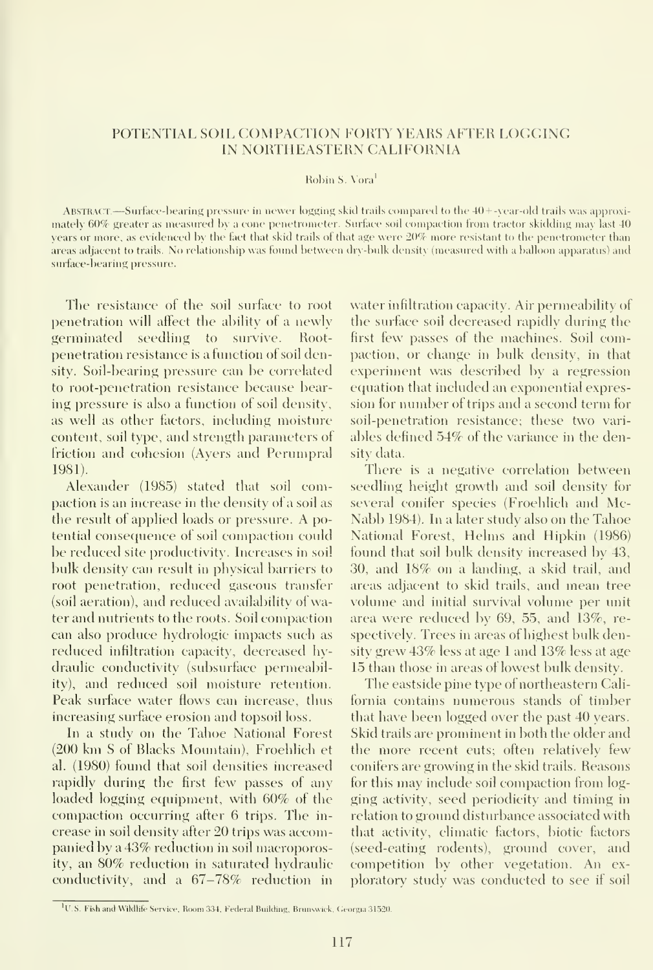#### POTENTIAL SOIL COMPACTION FORTY YEARS AFTER LOGGING IN NORTHEASTERN CALIFORNIA

#### Robin S. Vora<sup>1</sup>

Abstract.—Surface-bearing pressure in newer logging skid trails compared to the <sup>40</sup> <sup>+</sup> -year-old trails was approximately 60% greater as measured by a cone penetrometer. Surface soil compaction from tractor skidding may last 40 years or more, as evidenced by the fact that skid trails of that age were 20% more resistant to the penetrometer than areas adjacent to trails. No relationship was found between dry-bulk density (measured with <sup>a</sup> balloon apparatus) and surface-bearing pressure.

The resistance of the soil surface to root penetration will affect the ability of a newly germinated seedling to survive. Rootpenetration resistance is a function of soil density. Soil-bearing pressure can be correlated to root-penetration resistance because bearing pressure is also a function of soil density, as well as other factors, including moisture content, soil type, and strength parameters of friction and cohesion (Avers and Perumpral 1981).

Alexander (1985) stated that soil compaction is an increase in the density of a soil as the result of applied loads or pressure. A potential consequence of soil compaction could be reduced site productivity. Increases in soil bulk density can result in physical barriers to root penetration, reduced gaseous transfer (soil aeration), and reduced availability of water and nutrients to the roots. Soil compaction can also produce hydrologic impacts such as reduced infiltration capacity, decreased hydraulic conductivity (subsurface permeability), and reduced soil moisture retention. Peak surface water flows can increase, thus increasing surface erosion and topsoil loss.

In a study on the Tahoe National Forest (200 km <sup>S</sup>of Blacks Mountain), Froehlich et al. (1980) found that soil densities increased rapidly during the first few passes of any loaded logging equipment, with 60% of the compaction occurring after 6 trips. The in crease in soil density after 20 trips was accompanied by a 43% reduction in soil macroporosity, an 80% reduction in saturated hydraulic conductivity, and a 67-78% reduction in water infiltration capacity. Air permeability of the surface soil decreased rapidly dining the first few passes of the machines. Soil compaction, or change in bulk density, in that experiment was described by a regression equation that included an exponential expression for number of trips and a second term for soil-penetration resistance; these two vari ables defined 54% of the variance in the density data.

There is a negative correlation between seedling height growth and soil density for several conifer species (Froehlich and Mc-Nabb 1984). In a later study also on the Tahoe National Forest, Helms and Hipkin (1986) found that soil bulk density increased by 43, 30, and 18% on a landing, a skid trail, and areas adjacent to skid trails, and mean tree volume and initial survival volume per unit area were reduced by 69, 55, and 13%, re spectively. Trees in areas of highest bulk density grew 43% less at age <sup>1</sup> and 13% less at age 15 than those in areas of lowest bulk density.

The eastside pine type of northeastern Cali fornia contains numerous stands of timber that have been logged over the past 40 years. Skid trails are prominent in both the older and the more recent cuts; often relatively few conifers are growing in the skid trails. Reasons for this may include soil compaction from logging activity, seed periodicity and timing in relation to ground disturbance associated with that activity, climatic factors, biotic factors (seed-eating rodents), ground cover, and competition by other vegetation. An ex ploratory study was conducted to see if soil

<sup>&</sup>lt;sup>1</sup>U.S. Fish and Wikllife Service, Room 334, Federal Building, Brunswick, Georgia 31520.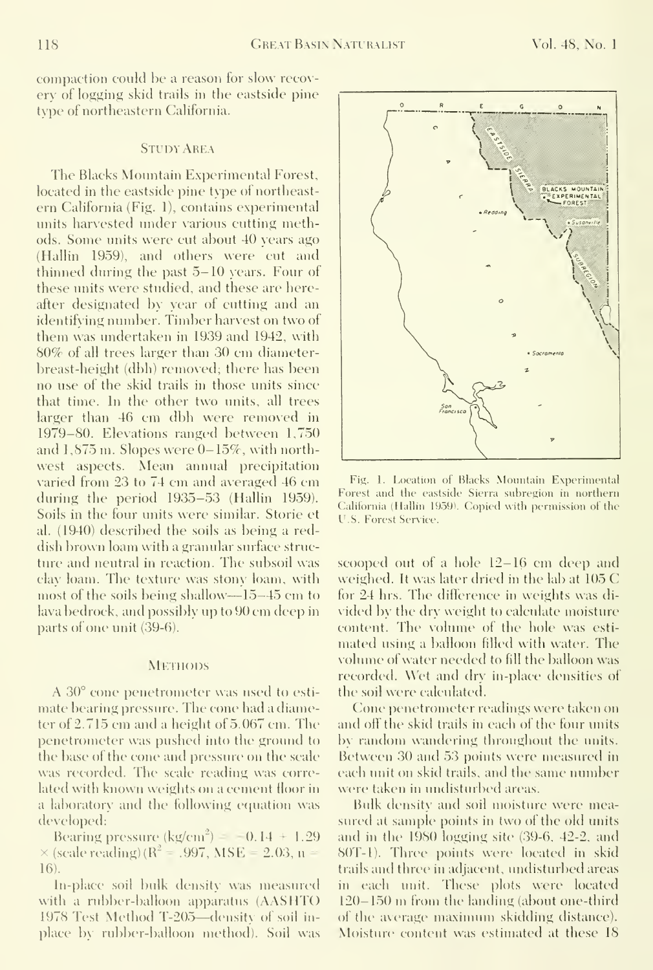compaction could be a reason for slow recov ery of logging skid trails in the eastside pine type of northeastern California.

#### STUDY AREA

The Blacks Mountain Experimental Forest, located in the eastside pine txpe of northeast ern California (Fig. 1), contains experimental units harvested under various cutting methods. Some units were cut about 40 years ago (Hallin 1959), and others were cut and thinned during the past 5-10 years. Four of these units were studied, and these are hereafter designated by year of cutting and an identifying number. Timber harvest on two of them was undertaken in 1939 and 1942, with 80% of all trees larger than 30 cm diameterbreast-height (dbh) removed; there has been no use of the skid trails in those units since that time. In the other two units, all trees larger than 46 cm dbh were removed in 1979-80. Elevations ranged between 1,750 and  $1,875$  m. Slopes were  $0-15\%$ , with northwest aspects. Mean annual precipitation varied from 23 to 74 cm and averaged 46 cm during the period 1935-53 (Hallin 1959). Soils in the four units were similar. Storie et al. (1940) described the soils as being a reddish brown loam with a granular surface structure and neutral in reaction. The subsoil was clay loam. The textine was stony loam, with most of the soils being shallow—15-45 cm to lava bedrock, and possibly up to 90 cm deep in parts of one unit (39-6).

#### **METHODS**

A 30° cone penetrometer was used to esti mate bearing pressure. The cone had a diameter of 2.715 cm and <sup>a</sup> height of 5.067 cm. The penetrometer was pushed into the ground to the base of the cone and pressure on the scale was recorded. The scale reading was correlated with known weights on a cement floor in a laboratory and the following equation was developed:

Bearing pressure  $(kg/cm^2) = -0.14 + 1.29$  $\times$  (scale reading) (R<sup>2</sup> = .997, MSE = 2.03, n = 16).

In-place soil bulk density was measured with <sup>a</sup> rubber-balloon apparatus (AASHTO 1978 Test Method T-20.5—density of soil in place by rubber-balloon method). Soil was



Fig. 1. Location of Blacks Mountain Experimental Forest and the eastside Sierra suhregion in northern California (Hallin 1959). Copied with permission of the U.S. Forest Service.

scooped out of <sup>a</sup> hole 12-16 cm deep and weighed. It was later dried in the lab at 105 C for 24 hrs. The difference in weights was di vided by the dry weight to calculate moisture content. The volume of the hole was esti mated using a balloon filled with water. The volume of water needed to fill the balloon was recorded. Wet and dry in-place densities of the soil were calculated.

Cone penetrometer readings were taken on and off the skid trails in each of the four units by random wandering throughout the units. Between 30 and 53 points were measmed in each unit on skid trails, and the same number were taken in undisturbed areas.

Bulk density and soil moisture were measured at sample points in two of the old units and in the 1980 logging site (39-6, 42-2, and 80T-1). Three points were located in skid trails and three in adjacent, undisturbed areas in each unit. These plots were located  $120 - 150$  m from the landing (about one-third of the axerage maximum skidding distance). Moisture content was estimated at these 18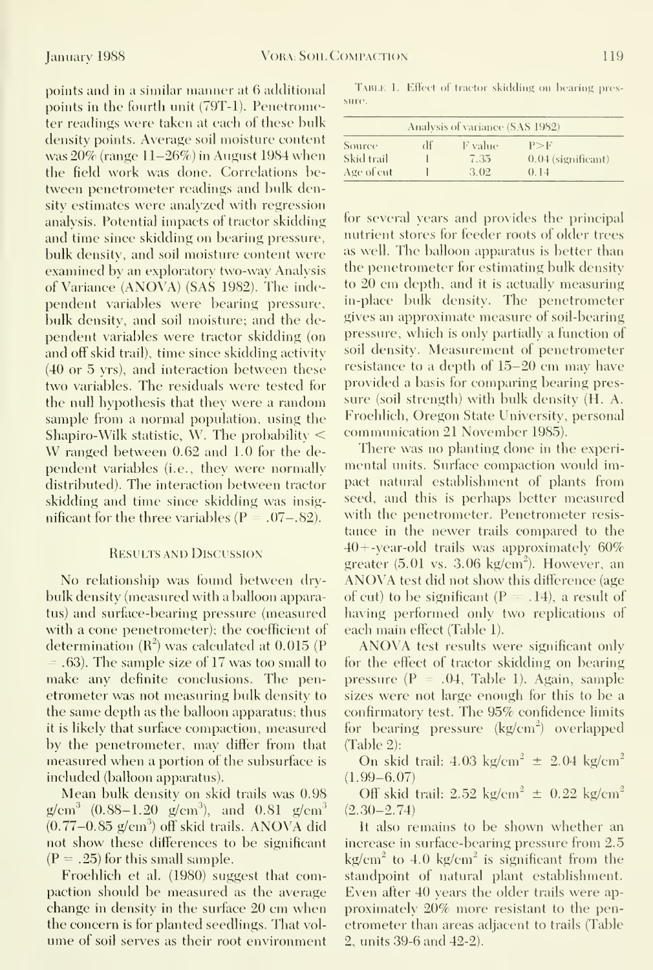points and in a similar manner at 6 additional points in the fourth unit (79T-1). Penetrometer readings were taken at each of these bulk density points. Average soil moisture content was 20% (range 11-26%) in August 1984 when the field work was done. Correlations between penetrometer readings and bulk density estimates were analyzed with regression analysis. Potential impacts of tractor skidding and time since skidding on bearing pressure, bulk density, and soil moisture content were examined bv an exploratory two-wav Analysis of Variance (ANOVA) (SAS 1982). The independent yariables were bearing pressure, bulk density, and soil moisture; and the dependent yariables were tractor skidding (on and off skid trail), time since skidding activity (40 or 5 yrs), and interaction between these two yariables. The residuals were tested for the null hypothesis that they were a random sample from a normal population, using the Shapiro-Wilk statistic, W. The probability < W ranged between 0.62 and 1.0 for the dependent yariables (i.e., they were normally distributed). The interaction between tractor skidding and time since skidding was insig nificant for the three variables ( $P = .07-.82$ ).

#### Results and Discussion

No relationship was found between drybulk density (measured with a balloon apparatus) and surface-bearing pressure (measured with a cone penetrometer); the coefficient of determination  $(R^2)$  was calculated at 0.015 (P) = .63). The sample size of <sup>17</sup> was too small to make any definite conclusions. The penetrometer was not measuring bulk density to the same depth as the balloon apparatus; thus it is likely that surface compaction, measured by the penetrometer, may differ from that measured when a portion of the subsurface is included (balloon apparatus).

Mean bulk density on skid trails was 0.98  $g/cm<sup>3</sup>$  (0.88–1.20 g/cm<sup>3</sup>), and 0.81 g/cm<sup>3</sup>  $(0.77-0.85 \text{ g/cm}^3)$  off skid trails. ANOVA did not show these differences to be significant  $(P=.25)$  for this small sample.

Froehlich et al. (1980) suggest that compaction should be measured as the average change in density in the surface 20 cm when the concern is for planted seedlings. That volume of soil serves as their root environment

TABLE 1. Effect of tractor skidding on bearing pressure.

| Analysis of variance (SAS 1982) |    |         |                      |  |  |  |  |
|---------------------------------|----|---------|----------------------|--|--|--|--|
| Source                          | df | F value | P>F                  |  |  |  |  |
| Skid trail                      |    | 7.35    | $0.04$ (significant) |  |  |  |  |
| Age of cut                      |    | 3.02    | () 14                |  |  |  |  |

for several years and provides the principal nutrient stores for feeder roots of older trees as well. The balloon apparatus is better than the penetrometer for estimating bulk density to 20 cm depth, and it is actually measuring in-place bulk density. The penetrometer gives an approximate measure of soil-bearing pressure, which is only partially a function of soil density. Measurement of penetrometer resistance to <sup>a</sup> depth of 15-20 cm may have provided a basis for comparing bearing pres sure (soil strength) with bulk density (H. A. Froehlich, Oregon State University, personal communication 21 November 1985).

There was no planting done in the experimental units. Surface compaction would impact natural establishment of plants from seed, and this is perhaps better measured with the penetrometer. Penetrometer resis tance in the newer trails compared to the 40+ -year-old trails was approximately 60% greater  $(5.01 \text{ vs. } 3.06 \text{ kg/cm}^2)$ . However, an ANOVA test did not show this difference (age of cut) to be significant ( $P = .14$ ), a result of having performed only two replications of each main effect (Table 1).

ANOVA test results were significant only for the effect of tractor skidding on bearing pressure  $(P = .04,$  Table 1). Again, sample sizes were not large enough for this to be a confirmatory test. The 95% confidence limits for bearing pressure  $(kg/cm^2)$  overlapped (Table 2):

On skid trail:  $4.03 \text{ kg/cm}^2 \pm 2.04 \text{ kg/cm}^2$  $(1.99 - 6.07)$ 

Off skid trail:  $2.52 \text{ kg/cm}^2 \pm 0.22 \text{ kg/cm}^2$  $(2.30 - 2.74)$ 

It also remains to be shown whether an increase in surface-bearing pressure from 2.5  $kg/cm<sup>2</sup>$  to 4.0 kg/cm<sup>2</sup> is significant from the standpoint of natural plant establishment. Even after 40 years the older trails were ap proximately 20% more resistant to the penetrometer than areas adjacent to trails (Table 2, units 39-6 and 42-2).